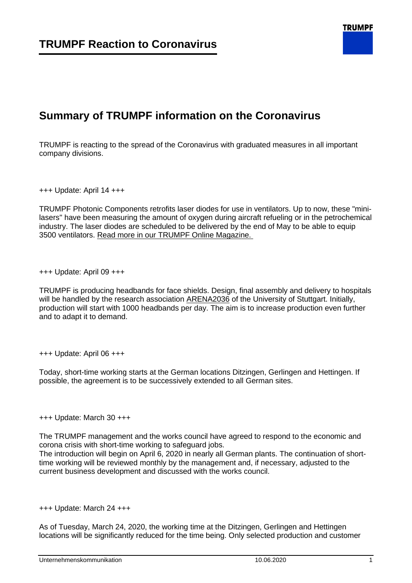## **Summary of TRUMPF information on the Coronavirus**

TRUMPF is reacting to the spread of the Coronavirus with graduated measures in all important company divisions.

+++ Update: April 14 +++

TRUMPF Photonic Components retrofits laser diodes for use in ventilators. Up to now, these "minilasers" have been measuring the amount of oxygen during aircraft refueling or in the petrochemical industry. The laser diodes are scheduled to be delivered by the end of May to be able to equip 3500 ventilators. [Read more in our TRUMPF Online Magazine.](https://www.trumpf.com/en_INT/magazine/trumpf-retrofits-mini-lasers-for-ventilators/)

+++ Update: April 09 +++

TRUMPF is producing headbands for face shields. Design, final assembly and delivery to hospitals will be handled by the research association [ARENA2036](http://www.arena2036.de/) of the University of Stuttgart. Initially, production will start with 1000 headbands per day. The aim is to increase production even further and to adapt it to demand.

+++ Update: April 06 +++

Today, short-time working starts at the German locations Ditzingen, Gerlingen and Hettingen. If possible, the agreement is to be successively extended to all German sites.

+++ Update: March 30 +++

The TRUMPF management and the works council have agreed to respond to the economic and corona crisis with short-time working to safeguard jobs.

The introduction will begin on April 6, 2020 in nearly all German plants. The continuation of shorttime working will be reviewed monthly by the management and, if necessary, adjusted to the current business development and discussed with the works council.

+++ Update: March 24 +++

As of Tuesday, March 24, 2020, the working time at the Ditzingen, Gerlingen and Hettingen locations will be significantly reduced for the time being. Only selected production and customer

**TRUMPF**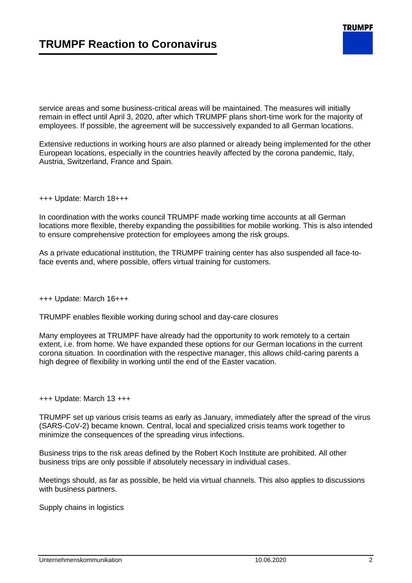

service areas and some business-critical areas will be maintained. The measures will initially remain in effect until April 3, 2020, after which TRUMPF plans short-time work for the majority of employees. If possible, the agreement will be successively expanded to all German locations.

Extensive reductions in working hours are also planned or already being implemented for the other European locations, especially in the countries heavily affected by the corona pandemic, Italy, Austria, Switzerland, France and Spain.

+++ Update: March 18+++

In coordination with the works council TRUMPF made working time accounts at all German locations more flexible, thereby expanding the possibilities for mobile working. This is also intended to ensure comprehensive protection for employees among the risk groups.

As a private educational institution, the TRUMPF training center has also suspended all face-toface events and, where possible, offers virtual training for customers.

+++ Update: March 16+++

TRUMPF enables flexible working during school and day-care closures

Many employees at TRUMPF have already had the opportunity to work remotely to a certain extent, i.e. from home. We have expanded these options for our German locations in the current corona situation. In coordination with the respective manager, this allows child-caring parents a high degree of flexibility in working until the end of the Easter vacation.

+++ Update: March 13 +++

TRUMPF set up various crisis teams as early as January, immediately after the spread of the virus (SARS-CoV-2) became known. Central, local and specialized crisis teams work together to minimize the consequences of the spreading virus infections.

Business trips to the risk areas defined by the Robert Koch Institute are prohibited. All other business trips are only possible if absolutely necessary in individual cases.

Meetings should, as far as possible, be held via virtual channels. This also applies to discussions with business partners.

Supply chains in logistics